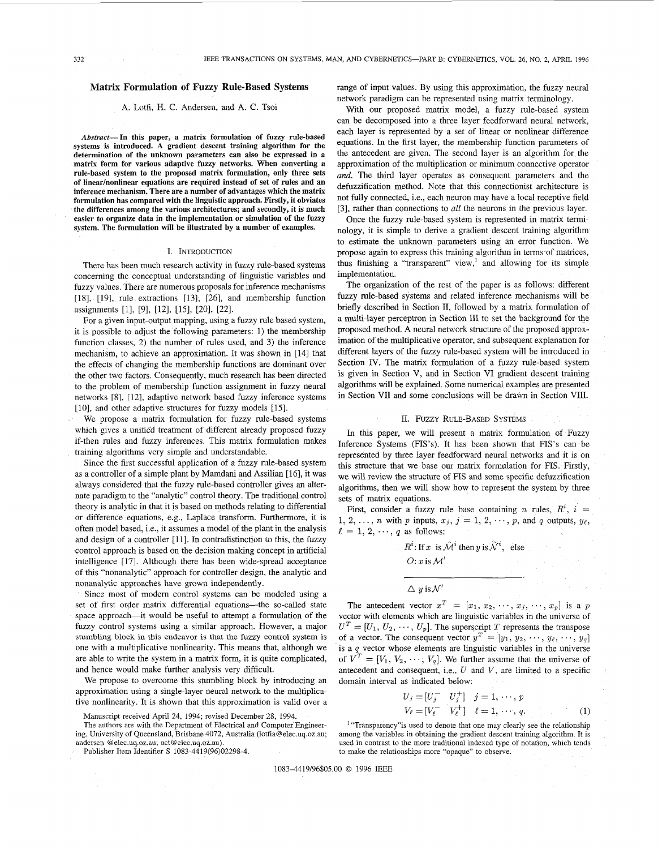## **Matrix Formulation of Fuzzy Rule-Based Systems**

## A. Lotfi, H. C. Andersen, and A. C. Tsoi

*Abstract*—In this paper, a matrix formulation of fuzzy rule-based systems is introduced. A gradient descent training algorithm for the determination of the unknown parameters can also be expressed in a matrix form for various adaptive fuzzy networks. When converting a rule-based system to the proposed matrix formulation, only three sets of linear/nonlinear equations are required instead of set of rules and an inference mechanism. There are a number of advantages which the matrix formulation has compared with the linguistic approach. Firstly, it obviates the differences among the various architectures; and secondly, it is much easier to organize data in the implementation or simulation of the fuzzy system. The formulation will be illustrated by a number of examples.

#### I. INTRODUCTION

There has been much research activity in fuzzy rule-based systems concerning the conceptual understanding of linguistic variables and fuzzy values. There are numerous proposals for inference mechanisms [18], [19], rule extractions [13], [26], and membership function assignments [1], [9], [12], [15], [20], [22].

For a given input-output mapping, using a fuzzy rale based system, it is possible to adjust the following parameters: 1) the membership function classes, 2) the number of rules used, and 3) the inference mechanism, to achieve an approximation. It was shown in [14] that the effects of changing the membership functions are dominant over the other two factors. Consequently, much research has been directed to the problem of membership function assignment in fuzzy neural networks [8], [12], adaptive network based fuzzy inference systems [10], and other adaptive structures for fuzzy models [15].

We propose a matrix formulation for fuzzy rule-based systems which gives a unified treatment of different already proposed fuzzy if-then rules and fuzzy inferences. This matrix formulation makes training algorithms very simple and understandable.

Since the first successful application of a fuzzy rule-based system as a controller of a simple plant by Mamdani and Assilian [16], it was always considered that the fuzzy rule-based controller gives an alternate paradigm to the "analytic" control theory. The traditional control theory is analytic in that it is based on methods relating to differential or difference equations, e.g., Laplace transform. Furthermore, it is often model based, i.e., it assumes a model of the plant in the analysis and design of a controller [11]. In contradistinction to this, the fuzzy control approach is based on the decision making concept in artificial intelligence [17]. Although there has been wide-spread acceptance of this "nonanalytic" approach for controller design, the analytic and nonanalytic approaches have grown independently.

Since most of modern control systems can be modeled using a set of first order matrix differential equations—the so-called state space approach—it would be useful to attempt a formulation of the fuzzy control systems using a similar approach. However, a major stumbling block in this endeavor is that the fuzzy control system is one with a multiplicative nonlinearity. This means that, although we are able to write the system in a matrix form, it is quite complicated, and hence would make further analysis very difficult.

We propose to overcome this stumbling block by introducing an approximation using a single-layer neural network to the multiplicative nonlinearity. It is shown that this approximation is valid over a

Manuscript received April 24, 1994; revised December 28, 1994.

The authors are with the Department of Electrical and Computer Engineering, University of Queensland, Brisbane 4072, Australia ([lotfia@elec.uq.oz.au;](mailto:lotfia@elec.uq.oz.au) andersen @elec.uq[.oz.au;](http://oz.au) [act@elec.uq.oz.au\).](mailto:act@elec.uq.oz.au)

Publisher Item Identifier S 1083-4419(96)02298-4.

range of input values. By using this approximation, the fuzzy neural network paradigm can be represented using matrix terminology.

With our proposed matrix model, a fuzzy rule-based system can be decomposed into a three layer feedforward neural network, each layer is represented by a set of linear or nonlinear difference equations. In the first layer, the membership function parameters of the antecedent are given. The second layer is an algorithm for the approximation of the multiplication or minimum connective operator *and.* The third layer operates as consequent parameters and the defuzzification method. Note that this connectionist architecture is not fully connected, i.e., each neuron may have a local receptive field [3], rather than connections to *all* the neurons in the previous layer.

Once the fuzzy rule-based system is represented in matrix terminology, it is simple to derive a gradient descent training algorithm to estimate the unknown parameters using an error function. We propose again to express this training algorithm in terms-of matrices, thus finishing a "transparent" view,<sup>1</sup> and allowing for its simple implementation.

The organization of the rest of the paper is as follows: different fuzzy rule-based systems and related inference mechanisms will be briefly described in Section II, followed by a matrix formulation of a multi-layer perceptron in Section III to set the background for the proposed method. A neural network structure of the proposed approximation of the multiplicative operator, and subsequent explanation for different layers of the fuzzy rule-based system will be introduced in Section IV. The matrix formulation of a fuzzy rule-based system is given in Section V, and in Section VI gradient descent training algorithms will be explained. Some numerical examples are presented in Section VII and some conclusions will be drawn in Section VIII.

### II. FUZZY RULE-BASED SYSTEMS

In this paper, we will present a matrix formulation of Fuzzy Inference Systems (FIS's). It has been shown that FIS's can be represented by three layer feedforward neural networks and it is on this structure that we base our matrix formulation for FIS. Firstly, we will review the structure of FIS and some specific defuzzification algorithms, then we will show how to represent the system by three sets of matrix equations.

First, consider a fuzzy rule base containing *n* rules,  $R^i$ ,  $i =$ 1, 2, ..., *n* with *p* inputs,  $x_j$ ,  $j = 1, 2, \dots, p$ , and *q* outputs,  $y_\ell$ ,  $l = 1, 2, \dots, q$  as follows:

> $R^i$ : If x is  $\tilde{\mathcal{M}}^i$  then y is  $\tilde{\mathcal{N}}^i$ , else  $O: x$  is  $\mathcal{M}'$

 $\Delta$  y is  $\mathcal{N}'$ 

The antecedent vector  $x^T = [x_1, x_2, \dots, x_j, \dots, x_p]$  is a p vector with elements which are linguistic variables in the universe of  $U^T = [U_1, U_2, \cdots, U_p]$ . The superscript *T* represents the transpose of a vector. The consequent vector  $y^T = [y_1, y_2, \dots, y_\ell, \dots, y_q]$ is a *q* vector whose elements are linguistic variables in the universe of  $V^T = [V_1, V_2, \cdots, V_q]$ . We further assume that the universe of antecedent and consequent, i.e., *U* and *V,* are limited to a specific domain interval as indicated below:

$$
U_j = [U_j^- \quad U_j^+] \quad j = 1, \dots, p
$$
  

$$
V_{\ell} = [V_{\ell}^- \quad V_{\ell}^+] \quad \ell = 1, \dots, q.
$$
 (1)

<sup>1</sup> "Transparency" is used to denote that one may clearly see the relationship among the variables in obtaining the gradient descent training algorithm. It is used in contrast to the more traditional indexed type of notation, which tends to make the relationships more "opaque" to observe.

1083-4419/96\$05.00 © 1996 IEEE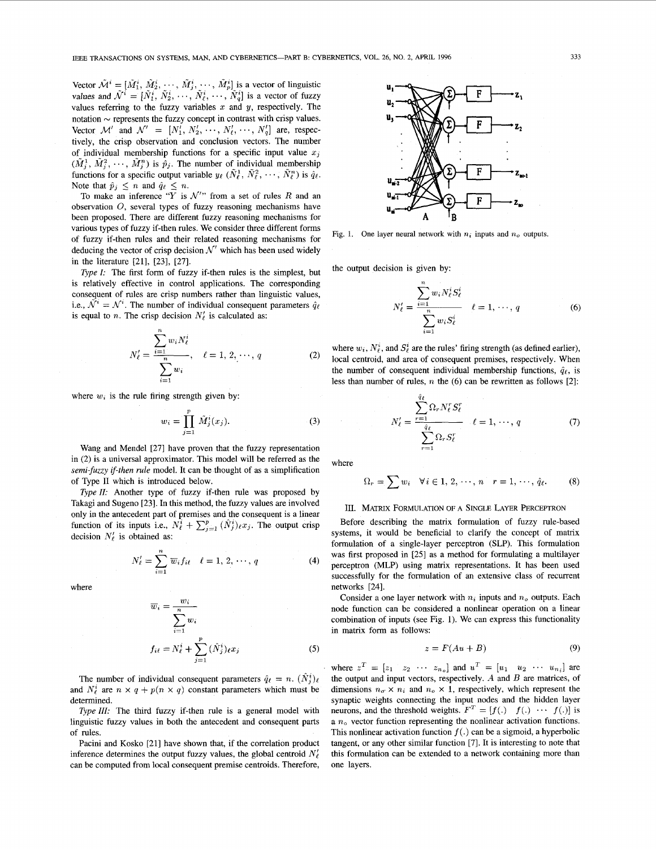Vector  $\tilde{\mathcal{M}}^i = [\tilde{M}_1^i, \tilde{M}_2^i, \cdots, \tilde{M}_j^i, \cdots, \tilde{M}_p^i]$  is a vector of linguistic values and  $\tilde{\mathcal{N}}^i = [\tilde{N}_1^i, \tilde{N}_2^i, \cdots, \tilde{N}_\ell^i, \cdots, \tilde{N}_q^i]$  is a vector of fuzzy values referring to the fuzzy variables *x* and *y,* respectively. The notation  $\sim$  represents the fuzzy concept in contrast with crisp values. Vector  $\mathcal{M}'$  and  $\mathcal{N}' = [N'_1, N'_2, \dots, N'_\ell, \dots, N'_q]$  are, respectively, the crisp observation and conclusion vectors. The number of individual membership functions for a specific input value  $x_i$  $(\tilde{M}_i^1, \tilde{M}_i^2, \cdots, \tilde{M}_i^n)$  is  $\tilde{p}_j$ . The number of individual membership functions for a specific output variable  $y_{\ell}$  ( $\tilde{N}_{\ell}^1$ ,  $\tilde{N}_{\ell}^2$ ,  $\cdots$ ,  $\tilde{N}_{\ell}^n$ ) is  $\hat{q}_{\ell}$ . Note that  $\hat{p}_j \leq n$  and  $\hat{q}_\ell \leq n$ .

To make an inference  $\sqrt[n]{Y}$  is  $\mathcal{N}$ " from a set of rules R and an observation *O,* several types of fuzzy reasoning mechanisms have been proposed. There are different fuzzy reasoning mechanisms for various types of fuzzy if-then rules. We consider three different forms of fuzzy if-then rules and their related reasoning mechanisms for deducing the vector of crisp decision  $\mathcal{N}'$  which has been used widely in the literature [21], [23], [27].

*Type I:* The first form of fuzzy if-then rules is the simplest, but is relatively effective in control applications. The corresponding consequent of rules are crisp numbers rather than linguistic values, i.e.,  $\tilde{\mathcal{N}}^i = \mathcal{N}^i$ . The number of individual consequent parameters  $\hat{q}_{\ell}$ is equal to *n*. The crisp decision  $N'_\ell$  is calculated as:

$$
N'_{\ell} = \frac{\sum_{i=1}^{n} w_i N_{\ell}^{i}}{\sum_{i=1}^{n} w_i}, \quad \ell = 1, 2, \dots, q
$$
 (2)

where  $w_i$  is the rule firing strength given by:

$$
w_i = \prod_{j=1}^p \tilde{M}_j^i(x_j). \tag{3}
$$

Wang and Mendel [27] have proven that the fuzzy representation in (2) is a universal approximator. This model will be referred as the *semi-fuzzy if-then rule* model. It can be thought of as a simplification of Type II which is introduced below.

Type II: Another type of fuzzy if-then rule was proposed by Takagi and Sugeno [23]. In this method, the fuzzy values are involved only in the antecedent part of premises and the consequent is a linear function of its inputs i.e.,  $N_{\ell}^{i} + \sum_{i=1}^{p} (\hat{N}_{i}^{i})_{\ell} x_{j}$ . The output crisp decision  $N'_\ell$  is obtained as:

$$
N'_{\ell} = \sum_{i=1}^{n} \overline{w}_i f_{i\ell} \quad \ell = 1, 2, \cdots, q
$$
 (4)

where

$$
\overline{w}_i = \frac{w_i}{\sum_{i=1}^n w_i}
$$
  

$$
f_{i\ell} = N_{\ell}^i + \sum_{j=1}^p (\hat{N}_j^i)_{\ell} x_j
$$
 (5)

The number of individual consequent parameters  $\hat{q}_{\ell} = n$ .  $(\hat{N}_i^i)_{\ell}$ and  $N_{\ell}^{i}$  are  $n \times q + p(n \times q)$  constant parameters which must be determined.

*Type III:* The third fuzzy if-then rule is a general model with linguistic fuzzy values in both the antecedent and consequent parts of rules.

Pacini and Kosko [21] have shown that, if the correlation product inference determines the output fuzzy values, the global centroid  $N'_{\ell}$ can be computed from local consequent premise centroids. Therefore,



Fig. 1. One layer neural network with  $n_i$  inputs and  $n_o$  outputs.

the output decision is given by:

$$
N'_{\ell} = \frac{\sum_{i=1}^{n} w_i N_{\ell}^{i} S_{\ell}^{i}}{\sum_{i=1}^{n} w_i S_{\ell}^{i}} \quad \ell = 1, \cdots, q
$$
 (6)

where  $w_i$ ,  $N_f^i$ , and  $S_f^i$  are the rules' firing strength (as defined earlier), local centroid, and area of consequent premises, respectively. When the number of consequent individual membership functions,  $\hat{q}_{\ell}$ , is less than number of rules, *n* the (6) can be rewritten as follows [2]:

$$
N'_{\ell} = \frac{\sum_{r=1}^{q_{\ell}} \Omega_r N'_{\ell} S'_{\ell}}{\sum_{r=1}^{q_{\ell}} \Omega_r S'_{\ell}} \quad \ell = 1, \cdots, q \qquad (7)
$$

where

$$
\Omega_r = \sum w_i \quad \forall i \in 1, 2, \cdots, n \quad r = 1, \cdots, \hat{q}_{\ell}.
$$
 (8)

# III. MATRIX FORMULATION OF A SINGLE LAYER PERCEPTRON

Before describing the matrix formulation of fuzzy rule-based systems, it would be beneficial to clarify the concept of matrix formulation of a single-layer perceptron (SLP). This formulation was first proposed in [25] as a method for formulating a multilayer perceptron (MLP) using matrix representations. It has been used successfully for the formulation of an extensive class of recurrent networks [24].

Consider a one layer network with  $n_i$  inputs and  $n_o$  outputs. Each node function can be considered a nonlinear operation on a linear combination of inputs (see Fig. 1). We can express this functionality in matrix form as follows:

$$
z = F(Au + B) \tag{9}
$$

where  $z^T = \begin{bmatrix} z_1 & z_2 & \cdots & z_{n_o} \end{bmatrix}$  and  $u^T = \begin{bmatrix} u_1 & u_2 & \cdots & u_{n_i} \end{bmatrix}$  are the output and input vectors, respectively. *A* and *B* are matrices, of dimensions  $n_a \times n_i$  and  $n_b \times 1$ , respectively, which represent the synaptic weights connecting the input nodes and the hidden layer neurons, and the threshold weights.  $F^T = [f(.) \quad f(.) \quad \cdots \quad f(.)]$  is a *n0* vector function representing the nonlinear activation functions. This nonlinear activation function  $f(.)$  can be a sigmoid, a hyperbolic tangent, or any other similar function [7]. It is interesting to note that this formulation can be extended to a network containing more than one layers.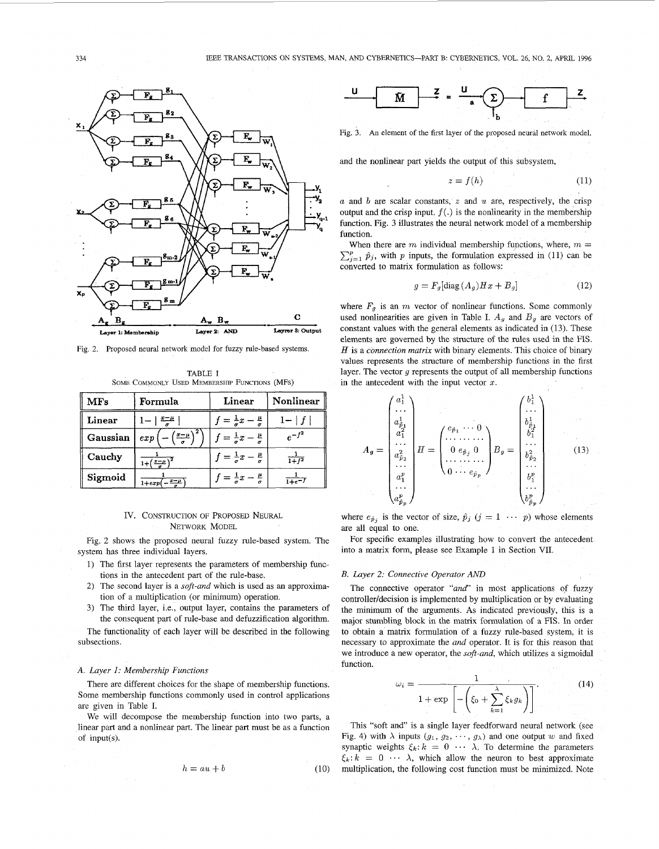

Fig. 2. Proposed neural network model for fuzzy rule-based systems.

TABLE I SOME COMMONLY USED MEMBERSHIP FUNCTIONS (MFs)

| <b>MFs</b> | Formula               | Linear                                   | Nonlinear         |  |
|------------|-----------------------|------------------------------------------|-------------------|--|
| Linear     | 三生                    | $=$ $\frac{1}{a}x$                       |                   |  |
| Gaussian   | $x = \mu$<br>$_{exp}$ | $=\frac{1}{a}x-\frac{\mu}{a}$            | $e^{-f^2}$        |  |
| Cauchy     | $+(-\sqrt{x-\mu})^2$  | $=\frac{1}{\sigma}x-\frac{\mu}{\sigma}$  | $\frac{1}{1+f^2}$ |  |
| Sigmoid    | $x-\mu$<br>$1 + exp$  | $\vec{r} = \frac{1}{a}x - \frac{\mu}{a}$ | i+e <sup>—i</sup> |  |

## IV. CONSTRUCTION OF PROPOSED NEURAL NETWORK MODEL

Fig. 2 shows the proposed neural fuzzy rule-based system. The system has three individual layers.

- 1) The first layer represents the parameters of membership functions in the antecedent part of the rule-base.
- 2) The second layer is a *soft-and* which is used as an approximation of a multiplication (or minimum) operation.
- 3) The third layer, i.e., output layer, contains the parameters of the consequent part of rule-base and defuzzification algorithm.
- The functionality of each layer will be described in the following subsections.

### *A. Layer 1: Membership Functions*

There are different choices for the shape of membership functions. Some membership functions commonly used in control applications are given in Table I.

We will decompose the membership function into two parts, a linear part and a nonlinear part. The linear part must be as a function of input(s).

$$
h = au + b \tag{10}
$$



Fig. 3. An element of the first layer of the proposed neural network model.

and the nonlinear part yields the output of this subsystem,

$$
z = f(h) \tag{11}
$$

*<sup>a</sup>* and & are scalar constants, *z* and *u* are, respectively, the crisp output and the crisp input.  $f(.)$  is the nonlinearity in the membership function. Fig. 3 illustrates the neural network model of a membership function.

When there are  $m$  individual membership functions, where,  $m =$  $\sum_{i=1}^{p} \hat{p}_i$ , with p inputs, the formulation expressed in (11) can be converted to matrix formulation as follows:

$$
g = F_g[\text{diag}(A_g)Hx + B_g]
$$
 (12)

where  $F_q$  is an *m* vector of nonlinear functions. Some commonly used nonlinearities are given in Table I.  $A_g$  and  $B_g$  are vectors of constant values with the general elements as indicated in (13). These elements are governed by the structure of the rules used in the FIS. *<sup>H</sup>* is a *connection matrix* with binary elements. This choice of binary values represents the structure of membership functions in the first layer. The vector *g* represents the output of all membership functions in the antecedent with the input vector *x.* 

$$
A_{g} = \begin{pmatrix} a_{1}^{1} \\ \cdots \\ a_{\beta_{1}}^{1} \\ a_{1}^{2} \\ \cdots \\ a_{\beta_{2}}^{2} \\ \vdots \\ a_{p}^{p} \\ \vdots \\ a_{p}^{p} \end{pmatrix} H = \begin{pmatrix} e_{\hat{p}_{1}} & \cdots & 0 \\ \cdots & \cdots & \cdots \\ 0 & e_{\hat{p}_{j}} & 0 \\ \cdots & \cdots & \cdots \\ 0 & \cdots & e_{\hat{p}_{p}} \end{pmatrix} B_{g} = \begin{pmatrix} b_{1}^{1} \\ \cdots \\ b_{\beta_{1}}^{1} \\ \cdots \\ b_{\beta_{2}}^{2} \\ \cdots \\ b_{p}^{p} \\ \vdots \\ b_{p}^{p} \\ \vdots \\ b_{p}^{p} \end{pmatrix}
$$
(13)

where  $e_{\hat{p}_j}$  is the vector of size,  $\hat{p}_j$  ( $j = 1 \cdots p$ ) whose elements are all equal to one.

For specific examples illustrating how to convert the antecedent into a matrix form, please see Example 1 in Section VII.

## *B. Layer 2: Connective Operator AND*

The connective operator *"and"* in most applications of fuzzy controller/decision is implemented by multiplication or by evaluating the minimum of the arguments. As indicated previously, this is a major stumbling block in the matrix formulation of a FIS. In order to obtain a matrix formulation of a fuzzy rule-based system, it is necessary to approximate the *and* operator. It is for this reason that we introduce a new operator, the *soft-and,* which utilizes a sigmoidal function.

$$
\omega_i = \frac{1}{1 + \exp\left[-\left(\xi_0 + \sum_{k=1}^{\lambda} \xi_k g_k\right)\right]}.
$$
 (14)

This "soft and" is a single layer feedforward neural network (see Fig. 4) with  $\lambda$  inputs  $(g_1, g_2, \dots, g_\lambda)$  and one output w and fixed synaptic weights  $\xi_k: k = 0 \cdots \lambda$ . To determine the parameters  $\xi_k$ :  $k = 0 \cdots \lambda$ , which allow the neuron to best approximate multiplication, the following cost function must be minimized. Note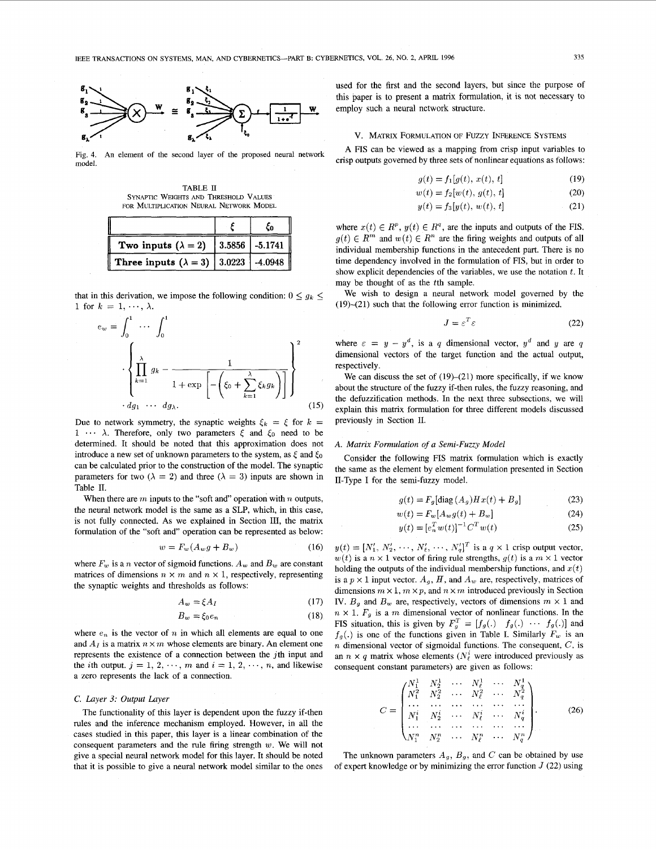

Fig. 4. model. An element of the second layer of the proposed neural network

TABLE II SYNAPTIC WEIGHTS AND THRESHOLD VALUES FOR MULTIPLICATION NEURAL NETWORK MODEL

|                                                 | ĊΩ                 |
|-------------------------------------------------|--------------------|
| Two inputs $(\lambda = 2)$                      | $ 3.5856 $ -5.1741 |
| Three inputs $(\lambda = 3)$   3.0223   -4.0948 |                    |

that in this derivation, we impose the following condition:  $0 \le g_k \le$ 1 for  $k = 1, \dots, \lambda$ .

$$
e_w = \int_0^1 \cdots \int_0^1
$$
  

$$
\left\{\prod_{k=1}^{\lambda} g_k - \frac{1}{1 + \exp\left[-\left(\xi_0 + \sum_{k=1}^{\lambda} \xi_k g_k\right)\right]}\right\}^2
$$
  

$$
dg_1 \cdots dg_{\lambda}.
$$
 (15)

 $d\theta$  •••  $\lambda$ . Therefore, only two parameters  $\xi$  and  $\xi_0$  need to be Due to network symmetry, the synaptic weights  $\xi_k = \xi$  for  $k =$ determined. It should be noted that this approximation does not introduce a new set of unknown parameters to the system, as  $\xi$  and  $\xi_0$ can be calculated prior to the construction of the model. The synaptic parameters for two ( $\lambda = 2$ ) and three ( $\lambda = 3$ ) inputs are shown in Table II.

When there are *m* inputs to the "soft and" operation with *n* outputs, the neural network model is the same as a SLP, which, in this case, is not fully connected. As we explained in Section III, the matrix formulation of the "soft and" operation can be represented as below:

$$
w = F_w(A_w g + B_w) \tag{16}
$$

where  $F_w$  is a *n* vector of sigmoid functions.  $A_w$  and  $B_w$  are constant matrices of dimensions  $n \times m$  and  $n \times 1$ , respectively, representing the synaptic weights and thresholds as follows:

$$
A_w = \xi A_I \tag{17}
$$

$$
B_w = \xi_0 e_n \tag{18}
$$

where  $e_n$  is the vector of  $n$  in which all elements are equal to one and  $A_I$  is a matrix  $n \times m$  whose elements are binary. An element one represents the existence of a connection between the jth input and the *i*th output,  $j = 1, 2, \dots, m$  and  $i = 1, 2, \dots, n$ , and likewise a zero represents the lack of a connection.

### *C. Layer 3: Output Layer*

The functionality of this layer is dependent upon the fuzzy if-then rules and the inference mechanism employed. However, in all the cases studied in this paper, this layer is a linear combination of the consequent parameters and the rule firing strength *w.* We will not give a special neural network model for this layer. It should be noted that it is possible to give a neural network model similar to the ones used for the first and the second layers, but since the purpose of this paper is to present a matrix formulation, it is not necessary to employ such a neural network structure.

### V. MATRIX FORMULATION OF FUZZY INFERENCE SYSTEMS

A FIS can be viewed as a mapping from crisp input variables to crisp outputs governed by three sets of nonlinear equations as follows:

$$
g(t) = f_1[g(t), x(t), t]
$$
 (19)

$$
w(t) = f_2[w(t), g(t), t]
$$
 (20)

$$
y(t) = f_3[y(t), w(t), t]
$$
 (21)

where  $x(t) \in R^p$ ,  $y(t) \in R^q$ , are the inputs and outputs of the FIS.  $g(t) \in R^m$  and  $w(t) \in R^n$  are the firing weights and outputs of all individual membership functions in the antecedent part. There is no time dependency involved in the formulation of FIS, but in order to show explicit dependencies of the variables, we use the notation *t.* It may be thought of as the tth sample.

We wish to design a neural network model governed by the (19)—(21) such that the following error function is minimized.

$$
J = \varepsilon^T \varepsilon \tag{22}
$$

where  $\varepsilon = y - y^d$ , is a q dimensional vector,  $y^d$  and y are q dimensional vectors of the target function and the actual output, respectively.

We can discuss the set of  $(19)–(21)$  more specifically, if we know about the structure of the fuzzy if-then rules, the fuzzy reasoning, and the defuzzification methods. In the next three subsections, we will explain this matrix formulation for three different models discussed previously in Section II.

## *A. Matrix Formulation of a Semi-Fuzzy Model*

Consider the following FIS matrix formulation which is exactly the same as the element by element formulation presented in Section II-Type I for the semi-fuzzy model.

$$
g(t) = F_g[\text{diag}(A_g)Hx(t) + B_g]
$$
 (23)

$$
w(t) = F_w[A_w g(t) + B_w]
$$
\n(24)

$$
y(t) = [e_n^T w(t)]^{-1} C^T w(t)
$$
 (25)

 $y(t) = [N'_1, N'_2, \cdots, N'_\ell, \cdots, N'_q]^T$  is a  $q \times 1$  crisp output vector,  $w(t)$  is a  $n \times 1$  vector of firing rule strengths,  $g(t)$  is a  $m \times 1$  vector holding the outputs of the individual membership functions, and  $x(t)$ is a  $p \times 1$  input vector.  $A_q$ ,  $H$ , and  $A_w$  are, respectively, matrices of dimensions  $m \times 1$ ,  $m \times p$ , and  $n \times m$  introduced previously in Section IV.  $B_g$  and  $B_w$  are, respectively, vectors of dimensions  $m \times 1$  and  $n \times 1$ .  $F_g$  is a m dimensional vector of nonlinear functions. In the FIS situation, this is given by  $F_q^T = [f_g(.) \quad f_g(.) \quad \cdots \quad f_g(.)]$  and  $f_g(.)$  is one of the functions given in Table I. Similarly  $F_w$  is an *n* dimensional vector of sigmoidal functions. The consequent, *C,* is an  $n \times q$  matrix whose elements ( $N_{\ell}^{i}$  were introduced previously as consequent constant parameters) are given as follows:

$$
C = \begin{pmatrix} N_1^1 & N_2^1 & \cdots & N_\ell^1 & \cdots & N_q^1 \\ N_1^2 & N_2^2 & \cdots & N_\ell^2 & \cdots & N_q^2 \\ \cdots & \cdots & \cdots & \cdots & \cdots & \cdots \\ N_1^i & N_2^i & \cdots & N_\ell^i & \cdots & N_q^i \\ \cdots & \cdots & \cdots & \cdots & \cdots & \cdots \\ N_1^n & N_2^n & \cdots & N_\ell^n & \cdots & N_q^n \end{pmatrix} .
$$
 (26)

The unknown parameters  $A_g$ ,  $B_g$ , and C can be obtained by use of expert knowledge or by minimizing the error function  $J(22)$  using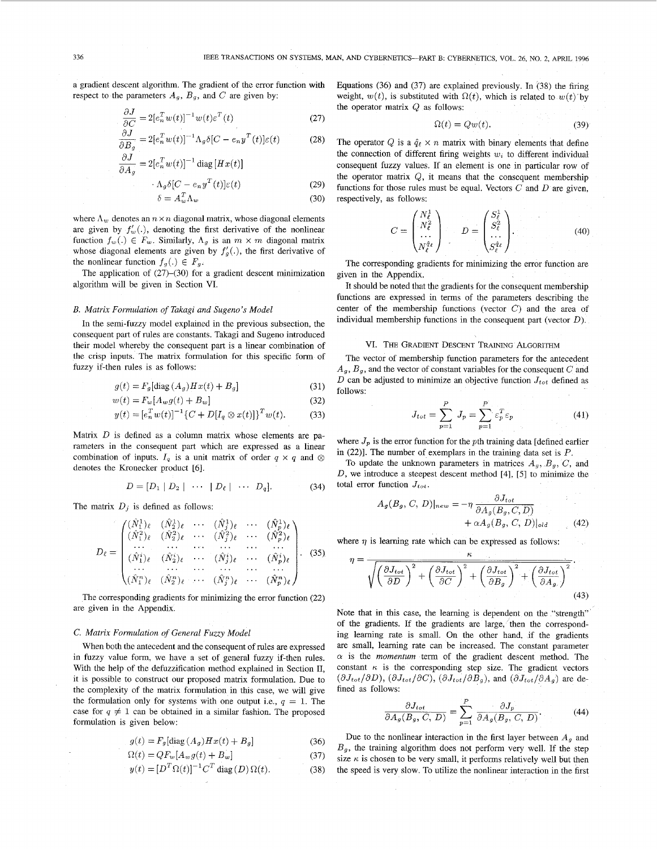a gradient descent algorithm. The gradient of the error function with respect to the parameters  $A_g$ ,  $B_g$ , and  $C$  are given by:

$$
\frac{\partial J}{\partial C} = 2[e_n^T w(t)]^{-1} w(t) \varepsilon^T(t)
$$
\n(27)

$$
\frac{\partial J}{\partial B_g} = 2[e_n^T w(t)]^{-1} \Lambda_g \delta[C - e_n y^T(t)] \varepsilon(t)
$$
 (28)  

$$
\frac{\partial J}{\partial B_g} = 2[e_n^T w(t)]^{-1} \Lambda_g \delta[C - e_n y^T(t)] \varepsilon(t)
$$

$$
\frac{\partial J}{\partial A_g} = 2[e_n^T w(t)]^{-1} \operatorname{diag} [Hx(t)]
$$

$$
\cdot \Lambda_g \delta[C - e_n y^T(t)] \varepsilon(t) \tag{29}
$$

$$
\delta = A_w^{\prime} \Lambda_w \tag{30}
$$

where  $\Lambda_w$  denotes an  $n \times n$  diagonal matrix, whose diagonal elements are given by  $f'_w(.)$ , denoting the first derivative of the nonlinear function  $f_w(.) \in F_w$ . Similarly,  $\Lambda_g$  is an  $m \times m$  diagonal matrix whose diagonal elements are given by  $f'_g(.)$ , the first derivative of the nonlinear function  $f_g(.) \in F_g$ .

The application of (27)-(30) for a gradient descent minimization algorithm will be given in Section VI.

## *B. Matrix Formulation of Takagi and Sugeno 's Model*

In the semi-fuzzy model explained in the previous subsection, the consequent part of rules are constants. Takagi and Sugeno introduced their model whereby the consequent part is a linear combination of the crisp inputs. The matrix formulation for this specific form of fuzzy if-then rules is as follows:

$$
g(t) = F_g[\text{diag}(A_g)Hx(t) + B_g]
$$
\n(31)

$$
w(t) = F_w[A_w g(t) + B_w]
$$
\n(32)

$$
y(t) = [e_n^T w(t)]^{-1} \{ C + D[I_q \otimes x(t)] \}^T w(t). \tag{33}
$$

Matrix *D* is defined as a column matrix whose elements are parameters in the consequent part which are expressed as a linear combination of inputs.  $I_q$  is a unit matrix of order  $q \times q$  and  $\otimes$ denotes the Kronecker product [6].

$$
D = [D_1 | D_2 | \cdots | D_\ell | \cdots D_q]. \tag{34}
$$

The matrix  $D_j$  is defined as follows:

$$
D_{\ell} = \begin{pmatrix} (\hat{N}_{1}^{1})_{\ell} & (\hat{N}_{2}^{1})_{\ell} & \cdots & (\hat{N}_{j}^{1})_{\ell} & \cdots & (\hat{N}_{p}^{1})_{\ell} \\ (\hat{N}_{1}^{2})_{\ell} & (\hat{N}_{2}^{2})_{\ell} & \cdots & (\hat{N}_{j}^{2})_{\ell} & \cdots & (\hat{N}_{p}^{2})_{\ell} \\ \vdots & \vdots & \ddots & \vdots & \ddots & \vdots \\ (\hat{N}_{1}^{i})_{\ell} & (\hat{N}_{2}^{i})_{\ell} & \cdots & (\hat{N}_{j}^{i})_{\ell} & \cdots & (\hat{N}_{p}^{i})_{\ell} \\ \vdots & \vdots & \ddots & \vdots & \ddots & \vdots \\ (\hat{N}_{1}^{n})_{\ell} & (\hat{N}_{2}^{n})_{\ell} & \cdots & (\hat{N}_{j}^{n})_{\ell} & \cdots & (\hat{N}_{p}^{n})_{\ell} \end{pmatrix} . \quad (35)
$$

The corresponding gradients for minimizing the error function (22) are given in the Appendix.

# *C. Matrix Formulation of General Fuzzy Model*

When both the antecedent and the consequent of rules are expressed in fuzzy value form, we have a set of general fuzzy if-then rules. With the help of the defuzzification method explained in Section II, it is possible to construct our proposed matrix formulation. Due to the complexity of the matrix formulation in this case, we will give the formulation only for systems with one output i.e., *q =* 1. The case for  $q \neq 1$  can be obtained in a similar fashion. The proposed formulation is given below:

$$
g(t) = F_g[\text{diag}(A_g)Hx(t) + B_g]
$$
 (36)

$$
\Omega(t) = QF_w[A_w g(t) + B_w]
$$
\n(37)

$$
y(t) = [DT \Omega(t)]-1 CT diag(D) \Omega(t).
$$
 (38)

Equations (36) and (37) are explained previously. In (38) the firing weight,  $w(t)$ , is substituted with  $\Omega(t)$ , which is related to  $w(t)$  by the operator matrix *Q* as follows:

$$
\Omega(t) = Qw(t). \tag{39}
$$

The operator Q is a  $\hat{q}_{\ell} \times n$  matrix with binary elements that define the connection of different firing weights  $w_i$  to different individual consequent fuzzy values. If an element is one in particular row of the operator matrix *Q,* it means that the consequent membership functions for those rules must be equal. Vectors *C* and *D* are given, respectively, as follows:

$$
C = \begin{pmatrix} N_{\ell}^{1} \\ N_{\ell}^{2} \\ \dots \\ N_{\ell}^{q_{\ell}} \end{pmatrix} \qquad D = \begin{pmatrix} S_{\ell}^{1} \\ S_{\ell}^{2} \\ \dots \\ S_{\ell}^{q_{\ell}} \end{pmatrix} . \tag{40}
$$

The corresponding gradients for minimizing the error function are given in the Appendix.

It should be noted that the gradients for the consequent membership functions are expressed in terms of the parameters describing the center of the membership functions (vector *C)* and the area of individual membership functions in the consequent part (vector *D).* 

### VI. THE GRADIENT DESCENT TRAINING ALGORITHM

The vector of membership function parameters for the antecedent *Ag, Bg,* and the vector of constant variables for the consequent *C* and *D* can be adjusted to minimize an objective function  $J_{tot}$  defined as follows:

$$
J_{tot} = \sum_{p=1}^{P} J_p = \sum_{p=1}^{P} \varepsilon_p^T \varepsilon_p \tag{41}
$$

where  $J_p$  is the error function for the pth training data [defined earlier in  $(22)$ ]. The number of exemplars in the training data set is  $P$ .

To update the unknown parameters in matrices  $A_g$ ,  $B_g$ ,  $C$ , and *D,* we introduce a steepest descent method [4], [5] to minimize the total error function  $J_{tot}$ .

$$
A_g(B_g, C, D)|_{new} = -\eta \frac{\partial J_{tot}}{\partial A_g(B_g, C, D)} + \alpha A_g(B_g, C, D)|_{old}
$$
 (42)

where  $\eta$  is learning rate which can be expressed as follows:

$$
\eta = \frac{\hbar}{\sqrt{\left(\frac{\partial J_{tot}}{\partial D}\right)^2 + \left(\frac{\partial J_{tot}}{\partial C}\right)^2 + \left(\frac{\partial J_{tot}}{\partial B_g}\right)^2 + \left(\frac{\partial J_{tot}}{\partial A_g}\right)^2}}
$$
\n(43)

Note that in this case, the learning is dependent on the "strength" of the gradients. If the gradients are large, then the corresponding learning rate is small. On the other hand, if the gradients are small, learning rate can be increased. The constant parameter  $\alpha$  is the *momentum* term of the gradient descent method. The constant  $\kappa$  is the corresponding step size. The gradient vectors  $(\partial J_{tot}/\partial D)$ ,  $(\partial J_{tot}/\partial C)$ ,  $(\partial J_{tot}/\partial B_g)$ , and  $(\partial J_{tot}/\partial A_g)$  are defined as follows:

$$
\frac{\partial J_{tot}}{\partial A_g(B_g, C, D)} = \sum_{p=1}^{P} \frac{\partial J_p}{\partial A_g(B_g, C, D)}.
$$
 (44)

Due to the nonlinear interaction in the first layer between *Ag* and  $B<sub>g</sub>$ , the training algorithm does not perform very well. If the step size  $\kappa$  is chosen to be very small, it performs relatively well but then the speed is very slow. To utilize the nonlinear interaction in the first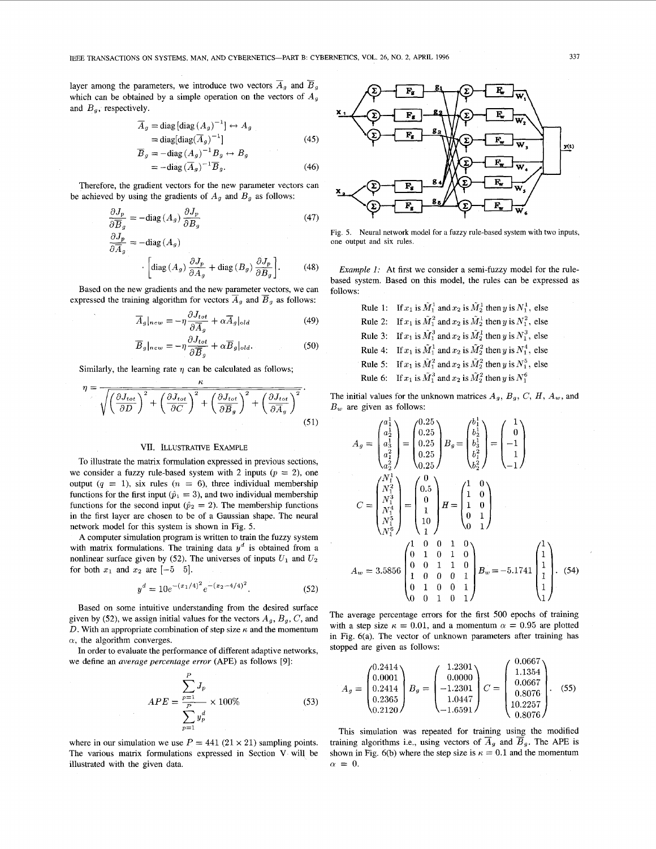layer among the parameters, we introduce two vectors  $\overline{A}_g$  and  $\overline{B}_g$ which can be obtained by a simple operation on the vectors of *A<sup>g</sup>* and  $B_q$ , respectively.

$$
\overline{A}_g = \text{diag} \left[ \text{diag} \left( A_g \right)^{-1} \right] \leftrightarrow A_g
$$
  
= diag[diag(\overline{A}\_g)^{-1}] \t\t(45)  

$$
\overline{B}_g = -\text{diag} \left( A_g \right)^{-1} B_g \leftrightarrow B_g
$$

$$
=-\text{diag}\left(A_g\right)^{-1}B_g.\tag{46}
$$

Therefore, the gradient vectors for the new parameter vectors can be achieved by using the gradients of  $A_g$  and  $B_g$  as follows:

$$
\frac{\partial J_p}{\partial \overline{B}_g} = -\text{diag}(A_g) \frac{\partial J_p}{\partial B_g}
$$
(47)  

$$
\frac{\partial J_p}{\partial \overline{A}_g} = -\text{diag}(A_g)
$$

$$
\cdot \left[ \text{diag}(A_g) \frac{\partial J_p}{\partial A_g} + \text{diag}(B_g) \frac{\partial J_p}{\partial B_g} \right].
$$
(48)

Based on the new gradients and the new parameter vectors, we can expressed the training algorithm for vectors  $\overline{A}_g$  and  $\overline{B}_g$  as follows:

$$
\overline{A}_g|_{new} = -\eta \frac{\partial J_{tot}}{\partial \overline{A}_g} + \alpha \overline{A}_g|_{old} \tag{49}
$$

$$
\overline{B}_g|_{new} = -\eta \frac{\partial J_{tot}}{\partial \overline{B}_g} + \alpha \overline{B}_g|_{old}.
$$
 (50)

Similarly, the learning rate  $\eta$  can be calculated as follows;

$$
\eta = \frac{\sqrt{\left(\frac{\partial J_{tot}}{\partial D}\right)^2 + \left(\frac{\partial J_{tot}}{\partial C}\right)^2 + \left(\frac{\partial J_{tot}}{\partial \overline{B}_g}\right)^2 + \left(\frac{\partial J_{tot}}{\partial \overline{A}_g}\right)^2}}{51}
$$

## VII. ILLUSTRATIVE EXAMPLE

To illustrate the matrix formulation expressed in previous sections, we consider a fuzzy rule-based system with 2 inputs  $(p = 2)$ , one output  $(q = 1)$ , six rules  $(n = 6)$ , three individual membership functions for the first input ( $\hat{p}_1 = 3$ ), and two individual membership functions for the second input ( $\hat{p}_2 = 2$ ). The membership functions in the first layer are chosen to be of a Gaussian shape. The neural network model for this system is shown in Fig. 5.

A computer simulation program is written to train the fuzzy system with matrix formulations. The training data  $y<sup>d</sup>$  is obtained from a nonlinear surface given by (52). The universes of inputs  $U_1$  and  $U_2$ for both  $x_1$  and  $x_2$  are  $[-5 \quad 5]$ .

$$
y^{d} = 10e^{-(x_1/4)^2}e^{-(x_2-4/4)^2}.
$$
 (52)

Based on some intuitive understanding from the desired surface given by (52), we assign initial values for the vectors  $A_g$ ,  $B_g$ ,  $C$ , and *D*. With an appropriate combination of step size  $\kappa$  and the momentum  $\alpha$ , the algorithm converges.

In order to evaluate the performance of different adaptive networks, we define an *average percentage error* (APE) as follows [9]:  $\sim$ 

$$
APE = \frac{\sum_{p=1}^{P} J_p}{\sum_{p=1}^{P} y_p^d} \times 100\%
$$
 (53)

where in our simulation we use  $P = 441 (21 \times 21)$  sampling points. The various matrix formulations expressed in Section V will be illustrated with the given data.



Fig. 5. Neural network model for a fuzzy rule-based system with two inputs, one output and six rules.

*Example 1:* At first we consider a semi-fuzzy model for the rulebased system. Based on this model, the rules can be expressed as follows:

> Rule 1: If  $x_1$  is  $\tilde{M}_1^1$  and  $x_2$  is  $\tilde{M}_2^1$  then *y* is  $N_1^1$ , else Rule 2: If  $x_1$  is  $\tilde{M}_1^2$  and  $x_2$  is  $\tilde{M}_2^1$  then *y* is  $N_1^2$ , else Rule 3: If  $x_1$  is  $M_1^3$  and  $x_2$  is  $M_2^1$  then *y* is  $N_1^3$ , else Rule 4: If  $x_1$  is  $\tilde{M}_1^1$  and  $x_2$  is  $\tilde{M}_2^2$  then *y* is  $N_1^4$ , else Rule 5: If  $x_1$  is  $\tilde{M}_1^2$  and  $x_2$  is  $\tilde{M}_2^2$  then *y* is  $N_1^5$ , else Rule 6: If  $x_1$  is  $\tilde{M}_1^3$  and  $x_2$  is  $\tilde{M}_2^2$  then *y* is  $N_1^6$

The initial values for the unknown matrices  $A_g$ ,  $B_g$ ,  $C$ ,  $H$ ,  $A_w$ , and *Bw* are given as follows:

$$
A_g = \begin{pmatrix} a_1^1 \\ a_2^1 \\ a_3^1 \\ a_4^2 \end{pmatrix} = \begin{pmatrix} 0.25 \\ 0.25 \\ 0.25 \\ 0.25 \end{pmatrix} B_g = \begin{pmatrix} b_1^1 \\ b_2^1 \\ b_3^1 \\ b_4^2 \end{pmatrix} = \begin{pmatrix} 1 \\ 0 \\ -1 \\ 1 \\ -1 \end{pmatrix}
$$
  
\n
$$
C = \begin{pmatrix} N_1^1 \\ N_1^2 \\ N_1^3 \\ N_1^4 \\ N_1^5 \end{pmatrix} = \begin{pmatrix} 0 \\ 0.5 \\ 1 \\ 10 \end{pmatrix} H = \begin{pmatrix} 1 & 0 \\ 1 & 0 \\ 1 & 0 \\ 0 & 1 \end{pmatrix}
$$
  
\n
$$
A_w = 3.5856 \begin{pmatrix} 1 & 0 & 0 & 1 & 0 \\ 0 & 1 & 0 & 1 & 0 \\ 1 & 0 & 0 & 0 & 1 \\ 1 & 0 & 0 & 0 & 1 \\ 0 & 1 & 0 & 0 & 1 \\ 0 & 0 & 1 & 0 & 1 \end{pmatrix} B_w = -5.1741 \begin{pmatrix} 1 \\ 1 \\ 1 \\ 1 \\ 1 \end{pmatrix}.
$$
 (54)

The average percentage errors for the first 500 epochs of training with a step size  $\kappa = 0.01$ , and a momentum  $\alpha = 0.95$  are plotted in Fig. 6(a). The vector of unknown parameters after training has stopped are given as follows:

$$
A_g = \begin{pmatrix} 0.2414 \\ 0.0001 \\ 0.2414 \\ 0.2365 \\ 0.2120 \end{pmatrix} B_g = \begin{pmatrix} 1.2301 \\ 0.0000 \\ -1.2301 \\ 1.0447 \\ -1.6591 \end{pmatrix} C = \begin{pmatrix} 0.0667 \\ 1.1354 \\ 0.0667 \\ 0.8076 \\ 10.2257 \\ 0.8076 \end{pmatrix}.
$$
 (55)

This simulation was repeated for training using the modified training algorithms i.e., using vectors of  $\overline{A}_g$  and  $\overline{B}_g$ . The APE is shown in Fig. 6(b) where the step size is  $\kappa = 0.1$  and the momentum  $\alpha = 0$ .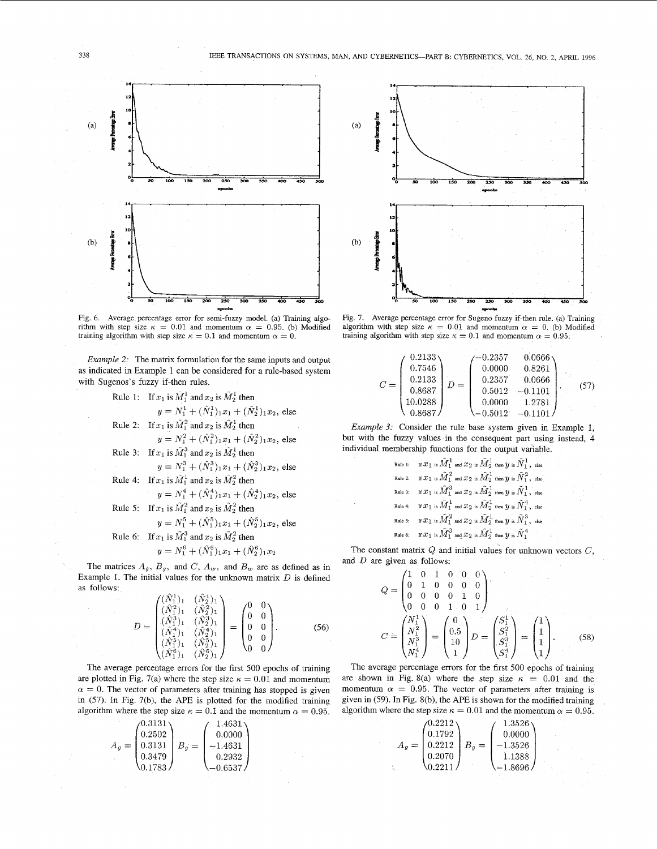

Fig. 6. Average percentage error for semi-fuzzy model, (a) Training algorithm with step size  $\kappa = 0.01$  and momentum  $\alpha = 0.95$ . (b) Modified training algorithm with step size  $\kappa = 0.1$  and momentum  $\alpha = 0$ .

*Example 2:* The matrix formulation for the same inputs and output as indicated in Example 1 can be considered for a rule-based system with Sugenos's fuzzy if-then rules.

Rule 1: If 
$$
x_1
$$
 is  $\tilde{M}_1^1$  and  $x_2$  is  $\tilde{M}_2^1$  then  
\n
$$
y = N_1^1 + (\hat{N}_1^1)_{1}x_1 + (\hat{N}_2^1)_{1}x_2
$$
, else  
\nRule 2: If  $x_1$  is  $\tilde{M}_1^2$  and  $x_2$  is  $\tilde{M}_2^1$  then  
\n
$$
y = N_1^2 + (\hat{N}_1^2)_{1}x_1 + (\hat{N}_2^2)_{1}x_2
$$
, else  
\nRule 3: If  $x_1$  is  $\tilde{M}_1^3$  and  $x_2$  is  $\tilde{M}_2^1$  then  
\n
$$
y = N_1^3 + (\hat{N}_1^3)_{1}x_1 + (\hat{N}_2^3)_{1}x_2
$$
, else  
\nRule 4: If  $x_1$  is  $\tilde{M}_1^1$  and  $x_2$  is  $\tilde{M}_2^2$  then  
\n
$$
y = N_1^4 + (\hat{N}_1^4)_{1}x_1 + (\hat{N}_2^4)_{1}x_2
$$
, else  
\nRule 5: If  $x_1$  is  $\tilde{M}_1^2$  and  $x_2$  is  $\tilde{M}_2^2$  then  
\n
$$
y = N_1^5 + (\hat{N}_1^5)_{1}x_1 + (\hat{N}_2^5)_{1}x_2
$$
, else  
\nRule 6: If  $x_1$  is  $\tilde{M}_1^3$  and  $x_2$  is  $\tilde{M}_2^2$  then  
\n
$$
y = N_1^6 + (\hat{N}_1^6)_{1}x_1 + (\hat{N}_2^6)_{1}x_2
$$

The matrices  $A_g$ ,  $B_g$ , and  $C$ ,  $A_w$ , and  $B_w$  are as defined as in Example 1. The initial values for the unknown matrix *D* is defined as follows:  $\mathbb{R}^2$  $\lambda$ 

$$
D = \begin{pmatrix} (\tilde{N}_1^1)_1 & (\tilde{N}_2^1)_1 \\ (\tilde{N}_1^2)_1 & (\tilde{N}_2^2)_1 \\ (\tilde{N}_1^3)_1 & (\tilde{N}_2^3)_1 \\ (\tilde{N}_1^4)_1 & (\tilde{N}_2^4)_1 \\ (\tilde{N}_1^5)_1 & (\tilde{N}_2^5)_1 \\ (\tilde{N}_1^5)_1 & (\tilde{N}_2^5)_1 \end{pmatrix} = \begin{pmatrix} 0 & 0 \\ 0 & 0 \\ 0 & 0 \\ 0 & 0 \\ 0 & 0 \end{pmatrix}.
$$
 (56)

The average percentage errors for the first 500 epochs of training are plotted in Fig. 7(a) where the step size  $\kappa = 0.01$  and momentum  $\alpha = 0$ . The vector of parameters after training has stopped is given in (57). In Fig. 7(b), the APE is plotted for the modified training algorithm where the step size  $\kappa = 0.1$  and the momentum  $\alpha = 0.95$ .

$$
A_g = \begin{pmatrix} 0.3131 \\ 0.2502 \\ 0.3131 \\ 0.3479 \\ 0.1783 \end{pmatrix} B_g = \begin{pmatrix} 1.4631 \\ 0.0000 \\ -1.4631 \\ 0.2932 \\ -0.6537 \end{pmatrix}
$$



Fig. 7. Average percentage error for Sugeno fuzzy if-then rule, (a) Training algorithm with step size  $\kappa = 0.01$  and momentum  $\alpha = 0$ . (b) Modified training algorithm with step size  $\kappa = 0.1$  and momentum  $\alpha = 0.95$ .

|       | 0.2133  |     | $\!-0.2357$ | 0.0666    |      |
|-------|---------|-----|-------------|-----------|------|
|       | 0.7546  |     | 0.0000      | 0.8261    |      |
| $C =$ | 0.2133  | $=$ | 0.2357      | 0.0666    |      |
|       | 0.8687  |     | 0.5012      | $-0.1101$ | (57) |
|       | 10.0288 |     | 0.0000      | 1.2781    |      |
|       | 0.8687  |     | $-0.5012$   |           |      |

*Example 3:* Consider the rule base system given in Example 1, but with the fuzzy values in the consequent part using instead, 4 individual membership functions for the output variable.

Rule 1: If 
$$
\mathcal{X}_1
$$
 is  $\widetilde{M}_1^1$  and  $\mathcal{X}_2$  is  $\widetilde{M}_2^1$  then  $y$  is  $\widetilde{N}_1^1$ , else \nRule 2: If  $\mathcal{X}_1$  is  $\widetilde{M}_1^2$  and  $\mathcal{X}_2$  is  $\widetilde{M}_2^1$  then  $y$  is  $\widetilde{N}_1^2$ , else \nRule 3: If  $\mathcal{X}_1$  is  $\widetilde{M}_1^3$  and  $\mathcal{X}_2$  is  $\widetilde{M}_2^1$  then  $y$  is  $\widetilde{N}_1^1$ , else \nRule 4: If  $\mathcal{X}_1$  is  $\widetilde{M}_1^1$  and  $\mathcal{X}_2$  is  $\widetilde{M}_2^1$  then  $y$  is  $\widetilde{N}_1^4$ , else \nRule 5: If  $\mathcal{X}_1$  is  $\widetilde{M}_1^2$  and  $\mathcal{X}_2$  is  $\widetilde{M}_2^1$  then  $y$  is  $\widetilde{N}_1^3$ , else \nRule 6: If  $\mathcal{X}_1$  is  $\widetilde{M}_1^3$  and  $\mathcal{X}_2$  is  $\widetilde{M}_2^1$  then  $y$  is  $\widetilde{N}_1^3$ 

The constant matrix *Q* and initial values for unknown vectors *C,*  and *D* are given as follows:

$$
Q = \begin{pmatrix} 1 & 0 & 1 & 0 & 0 & 0 \\ 0 & 1 & 0 & 0 & 0 & 0 \\ 0 & 0 & 0 & 0 & 1 & 0 \\ 0 & 0 & 0 & 1 & 0 & 1 \end{pmatrix}
$$
  
\n
$$
C = \begin{pmatrix} N_1^1 \\ N_1^2 \\ N_1^3 \\ N_1^4 \end{pmatrix} = \begin{pmatrix} 0 \\ 0.5 \\ 10 \\ 1 \end{pmatrix} D = \begin{pmatrix} S_1^1 \\ S_1^2 \\ S_1^3 \\ S_1^4 \end{pmatrix} = \begin{pmatrix} 1 \\ 1 \\ 1 \\ 1 \end{pmatrix}.
$$
 (58)

 $\left\langle N_1^4 \middle| \right\rangle$   $\left\langle 1 \middle| \right\rangle$   $\left\langle S_1^4 \middle| \right\rangle$   $\left\langle 1 \middle| \right\rangle$ <br>The average percentage errors for the first 500 epochs of training are shown in Fig. 8(a) where the step size  $\kappa = 0.01$  and the momentum  $\alpha = 0.95$ . The vector of parameters after training is given in (59). In Fig. 8(b), the APE is shown for the modified training algorithm where the step size  $\kappa = 0.01$  and the momentum  $\alpha = 0.95$ .

$$
A_g = \begin{pmatrix} 0.2212 \\ 0.1792 \\ 0.2212 \\ 0.2070 \\ 0.2211 \end{pmatrix} B_g = \begin{pmatrix} 1.3526 \\ 0.0000 \\ -1.3526 \\ 1.1388 \\ -1.8696 \end{pmatrix}
$$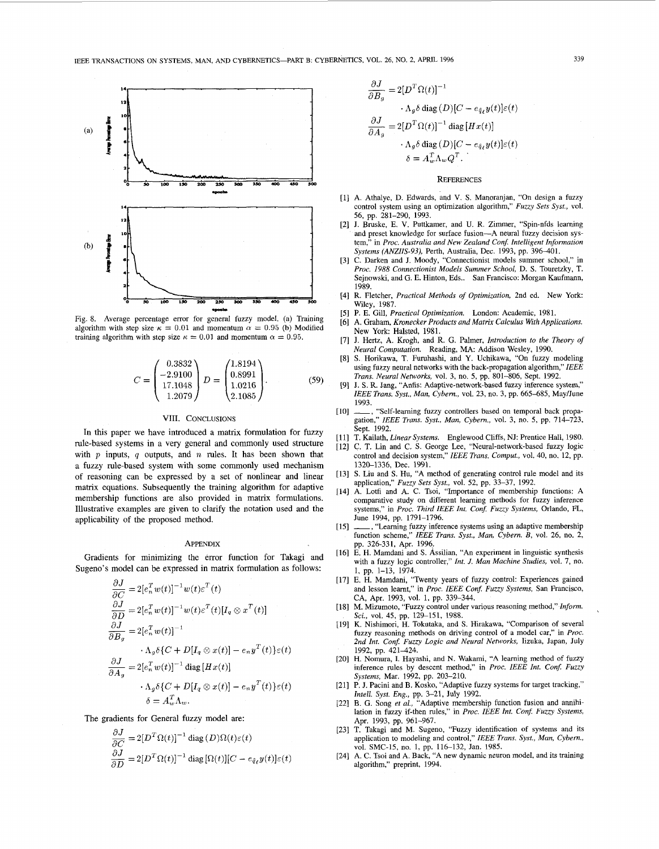

Fig. 8. Average percentage error for general fuzzy model, (a) Training algorithm with step size  $\kappa = 0.01$  and momentum  $\alpha = 0.95$  (b) Modified training algorithm with step size  $\kappa = 0.01$  and momentum  $\alpha = 0.95$ .

$$
C = \begin{pmatrix} 0.3832 \\ -2.9100 \\ 17.1048 \\ 1.2079 \end{pmatrix} D = \begin{pmatrix} 1.8194 \\ 0.8991 \\ 1.0216 \\ 2.1085 \end{pmatrix}.
$$
 (59)

## VIII. CONCLUSIONS

In this paper we have introduced a matrix formulation for fuzzy rule-based systems in a very general and commonly used structure with *p* inputs, *q* outputs, and *n* rules. It has been shown that a fuzzy rule-based system with some commonly used mechanism of reasoning can be expressed by a set of nonlinear and linear matrix equations. Subsequently the training algorithm for adaptive membership functions are also provided in matrix formulations. Illustrative examples are given to clarify the notation used and the applicability of the proposed method.

#### **APPENDIX**

Gradients for minimizing the error function for Takagi and Sugeno's model can be expressed in matrix formulation as follows:

$$
\frac{\partial J}{\partial C} = 2[e_n^T w(t)]^{-1} w(t) \varepsilon^T(t)
$$
  
\n
$$
\frac{\partial J}{\partial D} = 2[e_n^T w(t)]^{-1} w(t) \varepsilon^T(t) [I_q \otimes x^T(t)]
$$
  
\n
$$
\frac{\partial J}{\partial B_g} = 2[e_n^T w(t)]^{-1}
$$
  
\n
$$
\cdot \Lambda_g \delta \{C + D[I_q \otimes x(t)] - e_n y^T(t)\} \varepsilon(t)
$$
  
\n
$$
\frac{\partial J}{\partial A_g} = 2[e_n^T w(t)]^{-1} \operatorname{diag} [Hx(t)]
$$
  
\n
$$
\cdot \Lambda_g \delta \{C + D[I_q \otimes x(t)] - e_n y^T(t)\} \varepsilon(t)
$$
  
\n
$$
\delta = A_w^T \Lambda_w.
$$

The gradients for General fuzzy model are:

$$
\frac{\partial J}{\partial C} = 2[D^T \Omega(t)]^{-1} \operatorname{diag}(D)\Omega(t)\varepsilon(t)
$$

$$
\frac{\partial J}{\partial D} = 2[D^T \Omega(t)]^{-1} \operatorname{diag}[\Omega(t)][C - e_{\hat{q}_{\ell}}y(t)]\varepsilon(t)
$$

$$
\frac{\partial J}{\partial B_g} = 2[D^T \Omega(t)]^{-1}
$$

$$
\Lambda_g \delta \text{ diag}(D)[C - e_{\hat{q}_\ell} y(t)]\varepsilon(t)
$$

$$
\frac{\partial J}{\partial A_g} = 2[D^T \Omega(t)]^{-1} \text{ diag}[Hx(t)]
$$

$$
\Lambda_g \delta \text{ diag}(D)[C - e_{\hat{q}_\ell} y(t)]\varepsilon(t)
$$

$$
\delta = A_w^T \Lambda_w Q^T.
$$

### **REFERENCES**

- [1] A. Athalye, D. Edwards, and V. S. Manoranjan, "On design a fuzzy control system using an optimization algorithm," *Fuzzy Sets Syst.,* vol. 56, pp. 281-290, 1993.
- [2] J. Bruske, E. V. Puttkamer, and U. R. Zimmer, "Spin-nfds learning and preset knowledge for surface fusion—A neural fuzzy decision system," in *Proc. Australia and New Zealand Conf. Intelligent Information Systems (ANZIIS-93),* Perth, Australia, Dec. 1993, pp. 396-401.
- [3] C. Darken and J. Moody, "Connectionist models summer school," in *Proc. 1988 Connectionist Models Summer School,* D. S. Touretzky, T. Sejnowski, and G. E. Hinton, Eds.. San Francisco: Morgan Kaufmann, 1989.
- [4] R. Fletcher, *Practical Methods of Optimization,* 2nd ed. New York: Wiley, 1987.
- [5] P. E. Gill, *Practical Optimization.* London: Academic, 1981.
- [6] A. Graham, *Kronecker Products and Matrix Calculus With Applications.*  New York: Halsted, 1981.
- [7] J. Hertz, A. Krogh, and R. G. Palmer, *Introduction to the Theory of Neural Computation.* Reading, MA: Addison Wesley, 1990.
- [8] S. Horikawa, T. Furuhashi, and Y. Uchikawa, "On fuzzy modeling using fuzzy neural networks with the back-propagation algorithm," *IEEE Trans. Neural Networks,* vol. 3, no. 5, pp. 801-806, Sept. 1992.
- J. S. R. Jang, "Anfis: Adaptive-network-based fuzzy inference system," *IEEE Trans. Syst., Man, Cybern.,* vol. 23, no. 3, pp. 665-685, May/June 1993.
- [10] , "Self-learning fuzzy controllers based on temporal back propagation," *IEEE Trans. Syst., Man, Cybern.,* vol. 3, no. 5, pp. 714-723, Sept. 1992.
- [11] T. Kailath, *Linear Systems.* Englewood Cliffs, NJ: Prentice Hall, 1980.
- [12] C. T. Lin and C. S. George Lee, "Neural-network-based fuzzy logic control and decision system," *IEEE Trans. Comput,* vol. 40, no. 12, pp. 1320-1336, Dec. 1991.
- [13] S. Liu and S. Hu, "A method of generating control rule model and its application," *Fuzzy Sets Syst.,* vol. 52, pp. 33-37, 1992.
- [14] A. Lotfi and A. C. Tsoi, "Importance of membership functions: A comparative study on different learning methods for fuzzy inference systems," in *Proc. Third IEEE Int. Conf. Fuzzy Systems,* Orlando, FL, June 1994, pp. 1791-1796.
- [15] \_\_\_, "Learning fuzzy inference systems using an adaptive membership function scheme," *IEEE Trans. Syst., Man, Cybern. B,* vol. 26, no. 2, pp. 326-331, Apr. 1996.
- [16] E. H. Mamdani and S. Assilian, "An experiment in linguistic synthesis with a fuzzy logic controller," *Int. J. Man Machine Studies,* vol. 7, no. 1, pp. 1-13, 1974.
- [17] E. H. Mamdani, "Twenty years of fuzzy control: Experiences gained and lesson learnt," in *Proc. IEEE Conf. Fuzzy Systems,* San Francisco, CA, Apr. 1993, vol. 1, pp. 339-344.
- [18] M. Mizumoto, "Fuzzy control under various reasoning method," Inform. *Set,* vol. 45, pp. 129-151, 1988.
- [19] K. Nishimori, H. Tokutaka, and S. Hirakawa, "Comparison of several fuzzy reasoning methods on driving control of a model car," in *Proc. 2nd Int. Conf. Fuzzy Logic and Neural Networks,* Iizuka, Japan, July 1992, pp. 421-424.
- [20] H. Nomura, I. Hayashi, and N. Wakami, "A learning method of fuzzy inference rules by descent method," in *Proc. IEEE Int. Conf. Fuzzy Systems,* Mar. 1992, pp. 203-210.
- [21] P. J. Pacini and B. Kosko, "Adaptive fuzzy systems for target tracking," *Intell. Syst. Eng.,* pp. 3-21, July 1992.
- [22] B. G. Song *et al.,* "Adaptive membership function fusion and annihilation in fuzzy if-then rules," in *Proc. IEEE Int. Conf. Fuzzy Systems,*  Apr. 1993, pp. 961-967.
- [23] T. Takagi and M. Sugeno, "Fuzzy identification of systems and its application to modeling and control," *IEEE Trans. Syst., Man, Cybern.,*
- vol. SMC-15, no. 1, pp. 116-132, Jan. 1985. [24] A. C. Tsoi and A. Back, " A new dynamic neuron model, and its training algorithm," preprint, 1994.